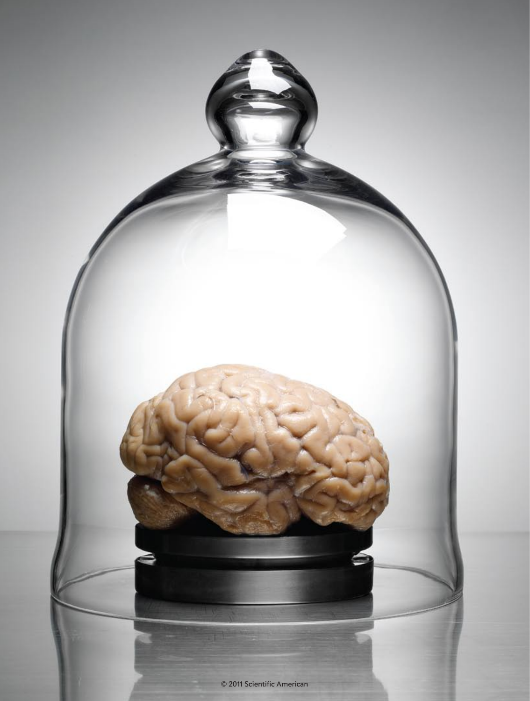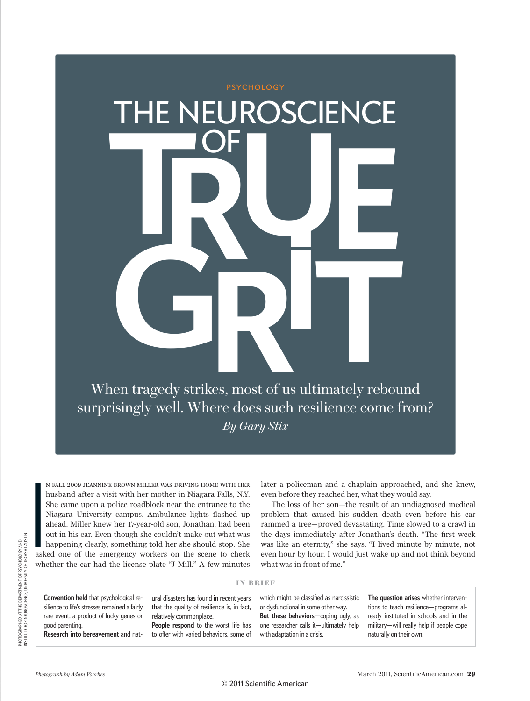# When tragedy strikes, most of us ultimately rebound surprisingly well. Where does such resilience come from? PSYCHOLOGY THE NEUROSCIENCE **True Lines (Separately Strikes, most of us ultimately rebou OF**

*By Gary Stix*

N<br>
S<br>
S<br>
S<br>
aske<br>
in<br>
aske<br>
where n fall 2009 jeannine brown miller was driving home with her husband after a visit with her mother in Niagara Falls, N.Y. She came upon a police roadblock near the entrance to the Niagara University campus. Ambulance lights flashed up ahead. Miller knew her 17-year-old son, Jonathan, had been out in his car. Even though she couldn't make out what was happening clearly, something told her she should stop. She asked one of the emergency workers on the scene to check whether the car had the license plate "J Mill." A few minutes

later a policeman and a chaplain approached, and she knew, even before they reached her, what they would say.

The loss of her son—the result of an undiagnosed medical problem that caused his sudden death even before his car rammed a tree—proved devastating. Time slowed to a crawl in the days immediately after Jonathan's death. "The first week was like an eternity," she says. "I lived minute by minute, not even hour by hour. I would just wake up and not think beyond what was in front of me."

### **in brief**

**Convention held** that psychological resilience to life's stresses remained a fairly rare event, a product of lucky genes or good parenting. **Research into bereavement** and nat-

that the quality of resilience is, in fact, relatively commonplace. **People respond** to the worst life has to offer with varied behaviors, some of

ural disasters has found in recent years

which might be classified as narcissistic or dysfunctional in some other way. **But these behaviors**—coping ugly, as one researcher calls it—ultimately help with adaptation in a crisis.

**The question arises** whether interventions to teach resilience—programs already instituted in schools and in the military—will really help if people cope naturally on their own.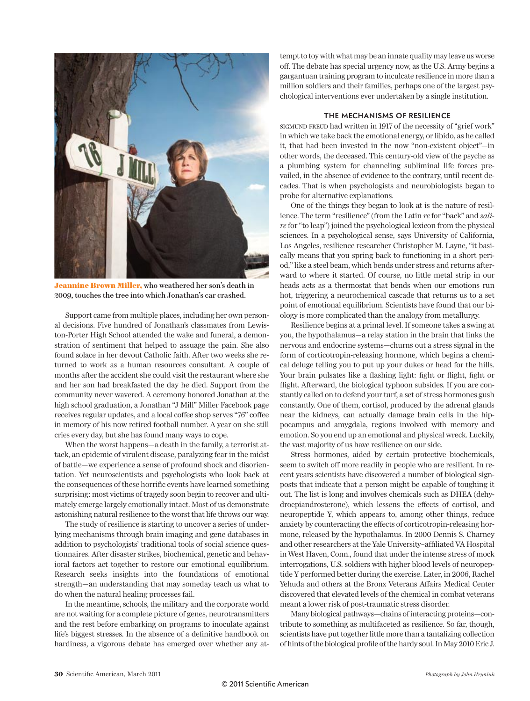

**Jeannine Brown Miller,** who weathered her son's death in 2009, touches the tree into which Jonathan's car crashed.

Support came from multiple places, including her own personal decisions. Five hundred of Jonathan's classmates from Lewiston-Porter High School attended the wake and funeral, a demonstration of sentiment that helped to assuage the pain. She also found solace in her devout Catholic faith. After two weeks she returned to work as a human resources consultant. A couple of months after the accident she could visit the restaurant where she and her son had breakfasted the day he died. Support from the community never wavered. A ceremony honored Jonathan at the high school graduation, a Jonathan "J Mill" Miller Facebook page receives regular updates, and a local coffee shop serves "76" coffee in memory of his now retired football number. A year on she still cries every day, but she has found many ways to cope.

When the worst happens—a death in the family, a terrorist attack, an epidemic of virulent disease, paralyzing fear in the midst of battle—we experience a sense of profound shock and disorientation. Yet neuroscientists and psychologists who look back at the consequences of these horrific events have learned something surprising: most victims of tragedy soon begin to recover and ultimately emerge largely emotionally intact. Most of us demonstrate astonishing natural resilience to the worst that life throws our way.

The study of resilience is starting to uncover a series of underlying mechanisms through brain imaging and gene databases in addition to psychologists' traditional tools of social science questionnaires. After disaster strikes, biochemical, genetic and behavioral factors act together to restore our emotional equilibrium. Research seeks insights into the foundations of emotional strength—an understanding that may someday teach us what to do when the natural healing processes fail.

In the meantime, schools, the military and the corporate world are not waiting for a complete picture of genes, neurotransmitters and the rest before embarking on programs to inoculate against life's biggest stresses. In the absence of a definitive handbook on hardiness, a vigorous debate has emerged over whether any attempt to toy with what may be an innate quality may leave us worse off. The debate has special urgency now, as the U.S. Army begins a gargantuan training program to inculcate resilience in more than a million soldiers and their families, perhaps one of the largest psychological interventions ever undertaken by a single institution.

## **The MechanismS of Resilience**

sigmund freud had written in 1917 of the necessity of "grief work" in which we take back the emotional energy, or libido, as he called it, that had been invested in the now "non-existent object"—in other words, the deceased. This century-old view of the psyche as a plumbing system for channeling subliminal life forces prevailed, in the absence of evidence to the contrary, until recent decades. That is when psychologists and neurobiologists began to probe for alternative explanations.

One of the things they began to look at is the nature of resilience. The term "resilience" (from the Latin *re* for "back" and *salire* for "to leap") joined the psychological lexicon from the physical sciences. In a psychological sense, says University of California, Los Angeles, resilience researcher Christopher M. Layne, "it basically means that you spring back to functioning in a short period," like a steel beam, which bends under stress and returns afterward to where it started. Of course, no little metal strip in our heads acts as a thermostat that bends when our emotions run hot, triggering a neurochemical cascade that returns us to a set point of emotional equilibrium. Scientists have found that our biology is more complicated than the analogy from metallurgy.

Resilience begins at a primal level. If someone takes a swing at you, the hypothalamus—a relay station in the brain that links the nervous and endocrine systems—churns out a stress signal in the form of corticotropin-releasing hormone, which begins a chemical deluge telling you to put up your dukes or head for the hills. Your brain pulsates like a flashing light: fight or flight, fight or flight. Afterward, the biological typhoon subsides. If you are constantly called on to defend your turf, a set of stress hormones gush constantly. One of them, cortisol, produced by the adrenal glands near the kidneys, can actually damage brain cells in the hippocampus and amygdala, regions involved with memory and emotion. So you end up an emotional and physical wreck. Luckily, the vast majority of us have resilience on our side.

Stress hormones, aided by certain protective biochemicals, seem to switch off more readily in people who are resilient. In recent years scientists have discovered a number of biological signposts that indicate that a person might be capable of toughing it out. The list is long and involves chemicals such as DHEA (dehydroepiandrosterone), which lessens the effects of cortisol, and neuropeptide Y, which appears to, among other things, reduce anxiety by counteracting the effects of corticotropin-releasing hormone, released by the hypothalamus. In 2000 Dennis S. Charney and other researchers at the Yale University–affiliated VA Hospital in West Haven, Conn., found that under the intense stress of mock interrogations, U.S. soldiers with higher blood levels of neuropeptide Y performed better during the exercise. Later, in 2006, Rachel Yehuda and others at the Bronx Veterans Affairs Medical Center discovered that elevated levels of the chemical in combat veterans meant a lower risk of post-traumatic stress disorder.

Many biological pathways—chains of interacting proteins—contribute to something as multifaceted as resilience. So far, though, scientists have put together little more than a tantalizing collection of hints of the biological profile of the hardy soul. In May 2010 Eric J.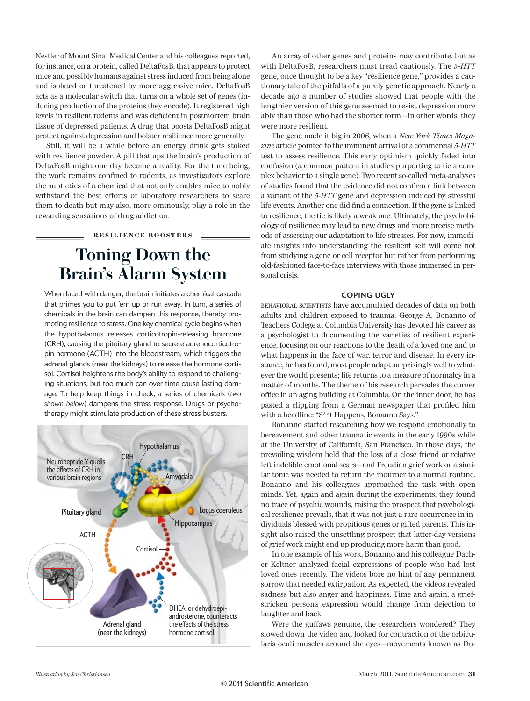Nestler of Mount Sinai Medical Center and his colleagues reported, for instance, on a protein, called DeltaFosB, that appears to protect mice and possibly humans against stress induced from being alone and isolated or threatened by more aggressive mice. DeltaFosB acts as a molecular switch that turns on a whole set of genes (inducing production of the proteins they encode). It registered high levels in resilient rodents and was deficient in postmortem brain tissue of depressed patients. A drug that boosts DeltaFosB might protect against depression and bolster resilience more generally.

Still, it will be a while before an energy drink gets stoked with resilience powder. A pill that ups the brain's production of DeltaFosB might one day become a reality. For the time being, the work remains confined to rodents, as investigators explore the subtleties of a chemical that not only enables mice to nobly withstand the best efforts of laboratory researchers to scare them to death but may also, more ominously, play a role in the rewarding sensations of drug addiction.

# **RESILIENCE BOOSTERS**

Toning Down the Brain's Alarm System

When faced with danger, the brain initiates a chemical cascade that primes you to put 'em up or run away. In turn, a series of chemicals in the brain can dampen this response, thereby promoting resilience to stress. One key chemical cycle begins when the hypothalamus releases corticotropin-releasing hormone (CRH), causing the pituitary gland to secrete adrenocorticotropin hormone (ACTH) into the bloodstream, which triggers the adrenal glands (near the kidneys) to release the hormone cortisol. Cortisol heightens the body's ability to respond to challenging situations, but too much can over time cause lasting damage. To help keep things in check, a series of chemicals (*two shown below*) dampens the stress response. Drugs or psychotherapy might stimulate production of these stress busters.



An array of other genes and proteins may contribute, but as with DeltaFosB, researchers must tread cautiously. The *5-HTT*  gene, once thought to be a key "resilience gene," provides a cautionary tale of the pitfalls of a purely genetic approach. Nearly a decade ago a number of studies showed that people with the lengthier version of this gene seemed to resist depression more ably than those who had the shorter form—in other words, they were more resilient.

The gene made it big in 2006, when a *New York Times Magazine* article pointed to the imminent arrival of a commercial *5-HTT*  test to assess resilience. This early optimism quickly faded into confusion (a common pattern in studies purporting to tie a complex behavior to a single gene). Two recent so-called meta-analyses of studies found that the evidence did not confirm a link between a variant of the *5-HTT* gene and depression induced by stressful life events. Another one did find a connection. If the gene is linked to resilience, the tie is likely a weak one. Ultimately, the psychobiology of resilience may lead to new drugs and more precise methods of assessing our adaptation to life stresses. For now, immediate insights into understanding the resilient self will come not from studying a gene or cell receptor but rather from performing old-fashioned face-to-face interviews with those immersed in personal crisis.

### **Coping Ugly**

behavioral scientists have accumulated decades of data on both adults and children exposed to trauma. George A. Bonanno of Teachers College at Columbia University has devoted his career as a psychologist to documenting the varieties of resilient experience, focusing on our reactions to the death of a loved one and to what happens in the face of war, terror and disease. In every instance, he has found, most people adapt surprisingly well to whatever the world presents; life returns to a measure of normalcy in a matter of months. The theme of his research pervades the corner office in an aging building at Columbia. On the inner door, he has pasted a clipping from a German newspaper that profiled him with a headline: "S\*\*t Happens, Bonanno Says."

Bonanno started researching how we respond emotionally to bereavement and other traumatic events in the early 1990s while at the University of California, San Francisco. In those days, the prevailing wisdom held that the loss of a close friend or relative left indelible emotional scars—and Freudian grief work or a similar tonic was needed to return the mourner to a normal routine. Bonanno and his colleagues approached the task with open minds. Yet, again and again during the experiments, they found no trace of psychic wounds, raising the prospect that psychological resilience prevails, that it was not just a rare occurrence in individuals blessed with propitious genes or gifted parents. This insight also raised the unsettling prospect that latter-day versions of grief work might end up producing more harm than good.

In one example of his work, Bonanno and his colleague Dacher Keltner analyzed facial expressions of people who had lost loved ones recently. The videos bore no hint of any permanent sorrow that needed extirpation. As expected, the videos revealed sadness but also anger and happiness. Time and again, a griefstricken person's expression would change from dejection to laughter and back.

Were the guffaws genuine, the researchers wondered? They slowed down the video and looked for contraction of the orbicularis oculi muscles around the eyes—movements known as Du-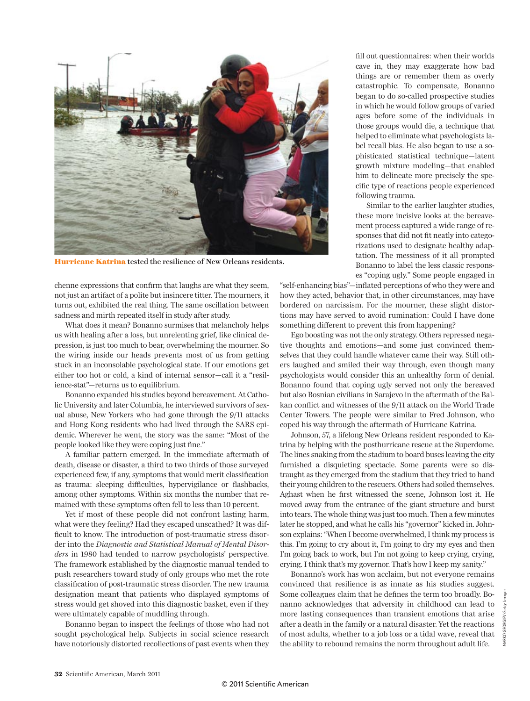

**Hurricane Katrina** tested the resilience of New Orleans residents.

chenne expressions that confirm that laughs are what they seem, not just an artifact of a polite but insincere titter. The mourners, it turns out, exhibited the real thing. The same oscillation between sadness and mirth repeated itself in study after study.

What does it mean? Bonanno surmises that melancholy helps us with healing after a loss, but unrelenting grief, like clinical depression, is just too much to bear, overwhelming the mourner. So the wiring inside our heads prevents most of us from getting stuck in an inconsolable psychological state. If our emotions get either too hot or cold, a kind of internal sensor—call it a "resilience-stat"—returns us to equilibrium.

Bonanno expanded his studies beyond bereavement. At Catholic University and later Columbia, he interviewed survivors of sexual abuse, New Yorkers who had gone through the 9/11 attacks and Hong Kong residents who had lived through the SARS epidemic. Wherever he went, the story was the same: "Most of the people looked like they were coping just fine."

A familiar pattern emerged. In the immediate aftermath of death, disease or disaster, a third to two thirds of those surveyed experienced few, if any, symptoms that would merit classification as trauma: sleeping difficulties, hypervigilance or flashbacks, among other symptoms. Within six months the number that remained with these symptoms often fell to less than 10 percent.

Yet if most of these people did not confront lasting harm, what were they feeling? Had they escaped unscathed? It was difficult to know. The introduction of post-traumatic stress disorder into the *Diagnostic and Statistical Manual of Mental Disorders* in 1980 had tended to narrow psychologists' perspective. The framework established by the diagnostic manual tended to push researchers toward study of only groups who met the rote classification of post-traumatic stress disorder. The new trauma designation meant that patients who displayed symptoms of stress would get shoved into this diagnostic basket, even if they were ultimately capable of muddling through.

Bonanno began to inspect the feelings of those who had not sought psychological help. Subjects in social science research have notoriously distorted recollections of past events when they fill out questionnaires: when their worlds cave in, they may exaggerate how bad things are or remember them as overly catastrophic. To compensate, Bonanno began to do so-called prospective studies in which he would follow groups of varied ages before some of the individuals in those groups would die, a technique that helped to eliminate what psychologists label recall bias. He also began to use a sophisticated statistical technique—latent growth mixture modeling—that enabled him to delineate more precisely the specific type of reactions people experienced following trauma.

Similar to the earlier laughter studies, these more incisive looks at the bereavement process captured a wide range of responses that did not fit neatly into categorizations used to designate healthy adaptation. The messiness of it all prompted Bonanno to label the less classic responses "coping ugly." Some people engaged in

"self-enhancing bias"—inflated perceptions of who they were and how they acted, behavior that, in other circumstances, may have bordered on narcissism. For the mourner, these slight distortions may have served to avoid rumination: Could I have done something different to prevent this from happening?

Ego boosting was not the only strategy. Others repressed negative thoughts and emotions—and some just convinced themselves that they could handle whatever came their way. Still others laughed and smiled their way through, even though many psychologists would consider this an unhealthy form of denial. Bonanno found that coping ugly served not only the bereaved but also Bosnian civilians in Sarajevo in the aftermath of the Balkan conflict and witnesses of the 9/11 attack on the World Trade Center Towers. The people were similar to Fred Johnson, who coped his way through the aftermath of Hurricane Katrina.

Johnson, 57, a lifelong New Orleans resident responded to Katrina by helping with the posthurricane rescue at the Superdome. The lines snaking from the stadium to board buses leaving the city furnished a disquieting spectacle. Some parents were so distraught as they emerged from the stadium that they tried to hand their young children to the rescuers. Others had soiled themselves. Aghast when he first witnessed the scene, Johnson lost it. He moved away from the entrance of the giant structure and burst into tears. The whole thing was just too much. Then a few minutes later he stopped, and what he calls his "governor" kicked in. Johnson explains: "When I become overwhelmed, I think my process is this. I'm going to cry about it, I'm going to dry my eyes and then I'm going back to work, but I'm not going to keep crying, crying, crying. I think that's my governor. That's how I keep my sanity."

Bonanno's work has won acclaim, but not everyone remains convinced that resilience is as innate as his studies suggest. Some colleagues claim that he defines the term too broadly. Bonanno acknowledges that adversity in childhood can lead to more lasting consequences than transient emotions that arise after a death in the family or a natural disaster. Yet the reactions of most adults, whether to a job loss or a tidal wave, reveal that the ability to rebound remains the norm throughout adult life.